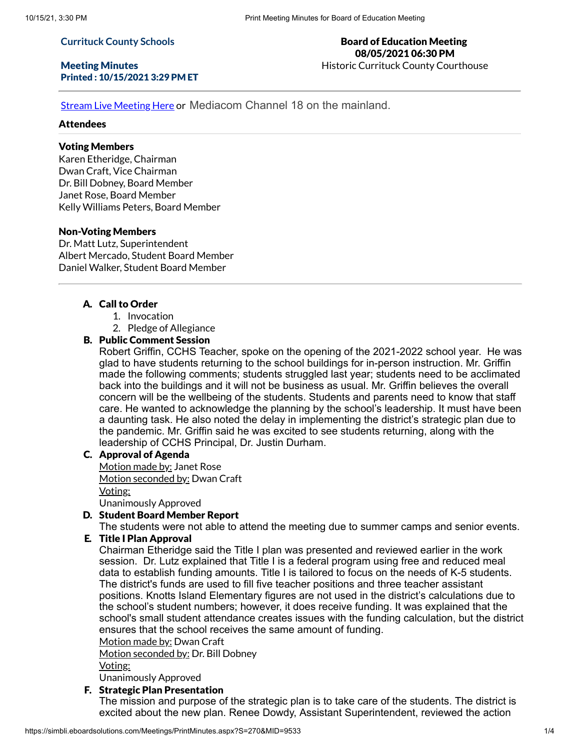#### **Currituck County Schools**

## Meeting Minutes Printed : 10/15/2021 3:29 PM ET

## Board of Education Meeting 08/05/2021 06:30 PM Historic Currituck County Courthouse

Stream Live [Meeting](http://currituckcountync.iqm2.com/Citizens/default.aspx) Here or Mediacom Channel 18 on the mainland.

# Attendees

# Voting Members

Karen Etheridge, Chairman Dwan Craft, Vice Chairman Dr. Bill Dobney, Board Member Janet Rose, Board Member Kelly Williams Peters, Board Member

#### Non-Voting Members

Dr. Matt Lutz, Superintendent Albert Mercado, Student Board Member Daniel Walker, Student Board Member

## A. Call to Order

- 1. Invocation
- 2. Pledge of Allegiance

# B. Public Comment Session

Robert Griffin, CCHS Teacher, spoke on the opening of the 2021-2022 school year. He was glad to have students returning to the school buildings for in-person instruction. Mr. Griffin made the following comments; students struggled last year; students need to be acclimated back into the buildings and it will not be business as usual. Mr. Griffin believes the overall concern will be the wellbeing of the students. Students and parents need to know that staff care. He wanted to acknowledge the planning by the school's leadership. It must have been a daunting task. He also noted the delay in implementing the district's strategic plan due to the pandemic. Mr. Griffin said he was excited to see students returning, along with the leadership of CCHS Principal, Dr. Justin Durham.

# C. Approval of Agenda

Motion made by: Janet Rose Motion seconded by: Dwan Craft Voting: Unanimously Approved

#### D. Student Board Member Report

The students were not able to attend the meeting due to summer camps and senior events.

## E. Title I Plan Approval

Chairman Etheridge said the Title I plan was presented and reviewed earlier in the work session. Dr. Lutz explained that Title I is a federal program using free and reduced meal data to establish funding amounts. Title I is tailored to focus on the needs of K-5 students. The district's funds are used to fill five teacher positions and three teacher assistant positions. Knotts Island Elementary figures are not used in the district's calculations due to the school's student numbers; however, it does receive funding. It was explained that the school's small student attendance creates issues with the funding calculation, but the district ensures that the school receives the same amount of funding.

Motion made by: Dwan Craft

Motion seconded by: Dr. Bill Dobney

Voting:

Unanimously Approved

#### F. Strategic Plan Presentation

The mission and purpose of the strategic plan is to take care of the students. The district is excited about the new plan. Renee Dowdy, Assistant Superintendent, reviewed the action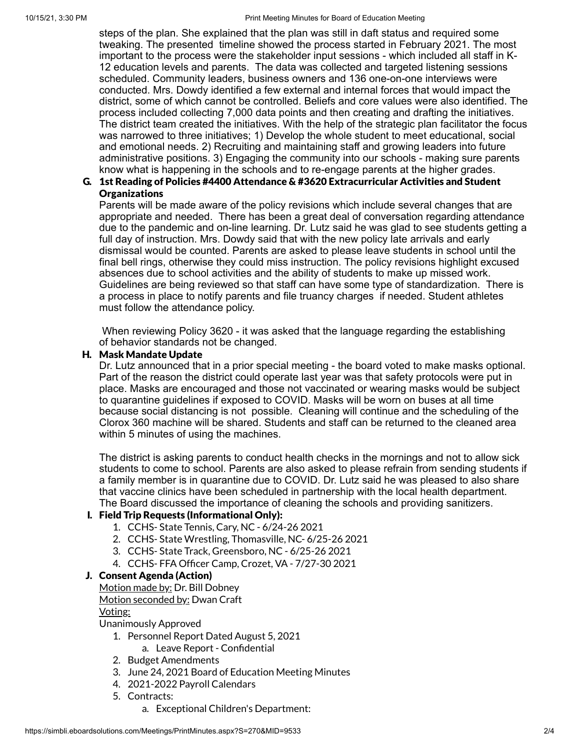steps of the plan. She explained that the plan was still in daft status and required some tweaking. The presented timeline showed the process started in February 2021. The most important to the process were the stakeholder input sessions - which included all staff in K-12 education levels and parents. The data was collected and targeted listening sessions scheduled. Community leaders, business owners and 136 one-on-one interviews were conducted. Mrs. Dowdy identified a few external and internal forces that would impact the district, some of which cannot be controlled. Beliefs and core values were also identified. The process included collecting 7,000 data points and then creating and drafting the initiatives. The district team created the initiatives. With the help of the strategic plan facilitator the focus was narrowed to three initiatives; 1) Develop the whole student to meet educational, social and emotional needs. 2) Recruiting and maintaining staff and growing leaders into future administrative positions. 3) Engaging the community into our schools - making sure parents know what is happening in the schools and to re-engage parents at the higher grades.

# G. 1st Reading of Policies #4400 Attendance & #3620 Extracurricular Activities and Student **Organizations**

Parents will be made aware of the policy revisions which include several changes that are appropriate and needed. There has been a great deal of conversation regarding attendance due to the pandemic and on-line learning. Dr. Lutz said he was glad to see students getting a full day of instruction. Mrs. Dowdy said that with the new policy late arrivals and early dismissal would be counted. Parents are asked to please leave students in school until the final bell rings, otherwise they could miss instruction. The policy revisions highlight excused absences due to school activities and the ability of students to make up missed work. Guidelines are being reviewed so that staff can have some type of standardization. There is a process in place to notify parents and file truancy charges if needed. Student athletes must follow the attendance policy.

When reviewing Policy 3620 - it was asked that the language regarding the establishing of behavior standards not be changed.

# H. Mask Mandate Update

Dr. Lutz announced that in a prior special meeting - the board voted to make masks optional. Part of the reason the district could operate last year was that safety protocols were put in place. Masks are encouraged and those not vaccinated or wearing masks would be subject to quarantine guidelines if exposed to COVID. Masks will be worn on buses at all time because social distancing is not possible. Cleaning will continue and the scheduling of the Clorox 360 machine will be shared. Students and staff can be returned to the cleaned area within 5 minutes of using the machines.

The district is asking parents to conduct health checks in the mornings and not to allow sick students to come to school. Parents are also asked to please refrain from sending students if a family member is in quarantine due to COVID. Dr. Lutz said he was pleased to also share that vaccine clinics have been scheduled in partnership with the local health department. The Board discussed the importance of cleaning the schools and providing sanitizers.

# I. Field Trip Requests (Informational Only):

- 1. CCHS- State Tennis, Cary, NC 6/24-26 2021
- 2. CCHS- State Wrestling, Thomasville, NC- 6/25-26 2021
- 3. CCHS- State Track, Greensboro, NC 6/25-26 2021
- 4. CCHS- FFA Officer Camp, Crozet, VA 7/27-30 2021

## J. Consent Agenda (Action)

Motion made by: Dr. Bill Dobney Motion seconded by: Dwan Craft

#### Voting:

Unanimously Approved

- 1. Personnel Report Dated August 5, 2021
	- a. Leave Report Confidential
- 2. Budget Amendments
- 3. June 24, 2021 Board of Education Meeting Minutes
- 4. 2021-2022 Payroll Calendars
- 5. Contracts:
	- a. Exceptional Children's Department: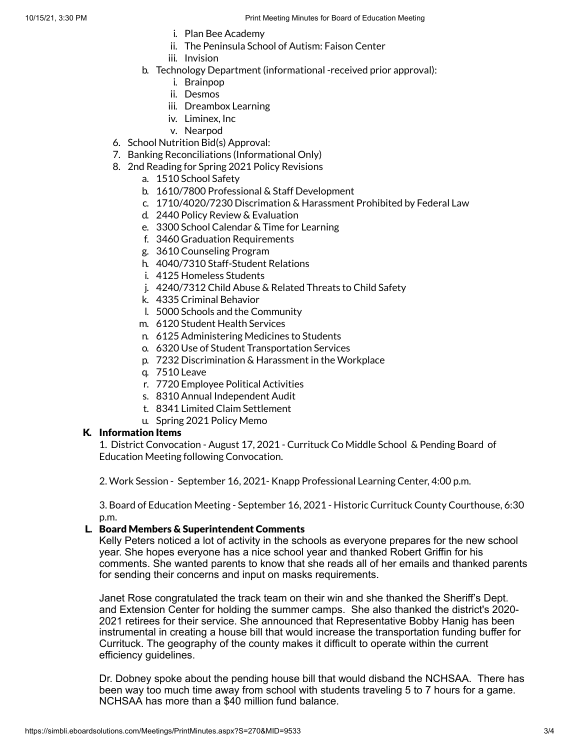- i. Plan Bee Academy
- ii. The Peninsula School of Autism: Faison Center
- iii. Invision
- b. Technology Department (informational -received prior approval):
	- i. Brainpop
	- ii. Desmos
	- iii. Dreambox Learning
	- iv. Liminex, Inc
	- v. Nearpod
- 6. School Nutrition Bid(s) Approval:
- 7. Banking Reconciliations (Informational Only)
- 8. 2nd Reading for Spring 2021 Policy Revisions
	- a. 1510 School Safety
	- b. 1610/7800 Professional & Staff Development
	- c. 1710/4020/7230 Discrimation & Harassment Prohibited by Federal Law
	- d. 2440 Policy Review & Evaluation
	- e. 3300 School Calendar & Time for Learning
	- f. 3460 Graduation Requirements
	- g. 3610 Counseling Program
	- h. 4040/7310 Staff-Student Relations
	- i. 4125 Homeless Students
	- j. 4240/7312 Child Abuse & Related Threats to Child Safety
	- k. 4335 Criminal Behavior
	- l. 5000 Schools and the Community
	- m. 6120 Student Health Services
	- n. 6125 Administering Medicines to Students
	- o. 6320 Use of Student Transportation Services
	- p. 7232 Discrimination & Harassment in the Workplace
	- q. 7510 Leave
	- r. 7720 Employee Political Activities
	- s. 8310 Annual Independent Audit
	- t. 8341 Limited Claim Settlement
	- u. Spring 2021 Policy Memo

# K. Information Items

1. District Convocation - August 17, 2021 - Currituck Co Middle School & Pending Board of Education Meeting following Convocation.

2. Work Session - September 16, 2021- Knapp Professional Learning Center, 4:00 p.m.

3. Board of Education Meeting - September 16, 2021 - Historic Currituck County Courthouse, 6:30 p.m.

#### L. Board Members & Superintendent Comments

Kelly Peters noticed a lot of activity in the schools as everyone prepares for the new school year. She hopes everyone has a nice school year and thanked Robert Griffin for his comments. She wanted parents to know that she reads all of her emails and thanked parents for sending their concerns and input on masks requirements.

Janet Rose congratulated the track team on their win and she thanked the Sheriff's Dept. and Extension Center for holding the summer camps. She also thanked the district's 2020- 2021 retirees for their service. She announced that Representative Bobby Hanig has been instrumental in creating a house bill that would increase the transportation funding buffer for Currituck. The geography of the county makes it difficult to operate within the current efficiency guidelines.

Dr. Dobney spoke about the pending house bill that would disband the NCHSAA. There has been way too much time away from school with students traveling 5 to 7 hours for a game. NCHSAA has more than a \$40 million fund balance.